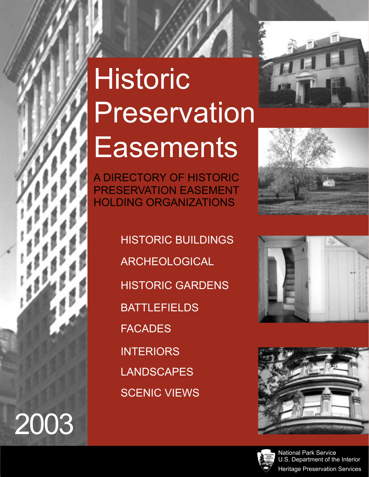# **Historic** Preservation **Easements**



HISTORIC BUILDINGS **BATTLEFIELDS** FACADES INTERIORS LANDSCAPES **SCENIC VIEWS** HISTORIC GARDENS ARCHEOLOGICAL

2003









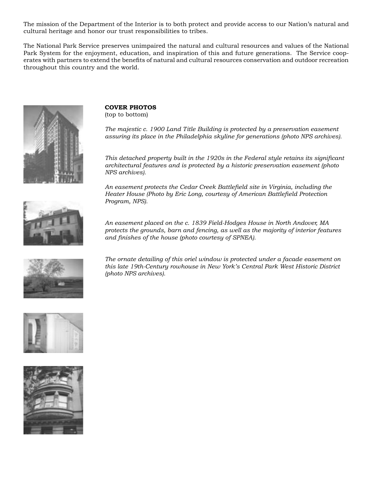The mission of the Department of the Interior is to both protect and provide access to our Nation's natural and cultural heritage and honor our trust responsibilities to tribes.

The National Park Service preserves unimpaired the natural and cultural resources and values of the National Park System for the enjoyment, education, and inspiration of this and future generations. The Service cooperates with partners to extend the benefits of natural and cultural resources conservation and outdoor recreation throughout this country and the world.



**COVER PHOTOS**  (top to bottom)

*The majestic c. 1900 Land Title Building is protected by a preservation easement assuring its place in the Philadelphia skyline for generations (photo NPS archives).*

*This detached property built in the 1920s in the Federal style retains its significant architectural features and is protected by a historic preservation easement (photo NPS archives).*

*An easement protects the Cedar Creek Battlefield site in Virginia, including the Heater House (Photo by Eric Long, courtesy of American Battlefield Protection Program, NPS).* 





*The ornate detailing of this oriel window is protected under a facade easement on this late 19th-Century rowhouse in New York's Central Park West Historic District (photo NPS archives).*



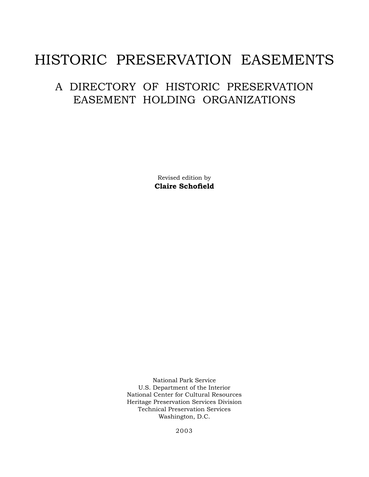## HISTORIC PRESERVATION EASEMENTS

## A DIRECTORY OF HISTORIC PRESERVATION EASEMENT HOLDING ORGANIZATIONS

Revised edition by **Claire Schofield**

National Park Service U.S. Department of the Interior National Center for Cultural Resources Heritage Preservation Services Division Technical Preservation Services Washington, D.C.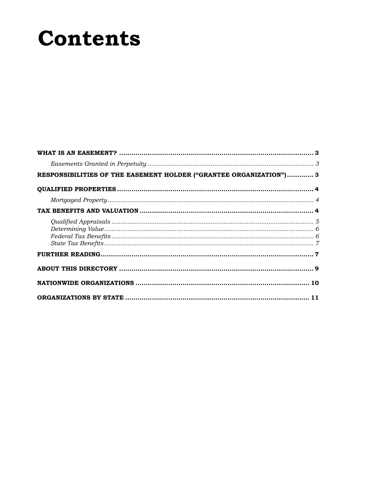## **Contents**

| RESPONSIBILITIES OF THE EASEMENT HOLDER ("GRANTEE ORGANIZATION") 3 |  |
|--------------------------------------------------------------------|--|
|                                                                    |  |
|                                                                    |  |
|                                                                    |  |
|                                                                    |  |
|                                                                    |  |
|                                                                    |  |
|                                                                    |  |
|                                                                    |  |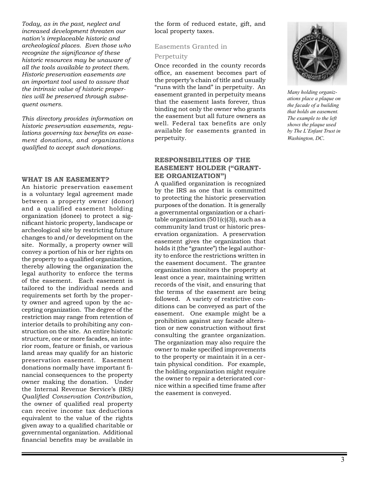*Today, as in the past, neglect and increased development threaten our nation's irreplaceable historic and archeological places. Even those who recognize the significance of these historic resources may be unaware of all the tools available to protect them. Historic preservation easements are an important tool used to assure that the intrinsic value of historic properties will be preserved through subsequent owners.*

*This directory provides information on historic preservation easements, regulations governing tax benefits on easement donations, and organizations qualified to accept such donations.*

#### **WHAT IS AN EASEMENT?**

An historic preservation easement is a voluntary legal agreement made between a property owner (donor) and a qualified easement holding organization (donee) to protect a significant historic property, landscape or archeological site by restricting future changes to and/or development on the site. Normally, a property owner will convey a portion of his or her rights on the property to a qualified organization, thereby allowing the organization the legal authority to enforce the terms of the easement. Each easement is tailored to the individual needs and requirements set forth by the property owner and agreed upon by the accepting organization. The degree of the restriction may range from retention of interior details to prohibiting any construction on the site. An entire historic structure, one or more facades, an interior room, feature or finish, or various land areas may qualify for an historic preservation easement. Easement donations normally have important financial consequences to the property owner making the donation. Under the Internal Revenue Service's (IRS*) Qualified Conservation Contribution*, the owner of qualified real property can receive income tax deductions equivalent to the value of the rights given away to a qualified charitable or governmental organization. Additional financial benefits may be available in

the form of reduced estate, gift, and local property taxes.

#### Easements Granted in

#### Perpetuity

Once recorded in the county records office, an easement becomes part of the property's chain of title and usually "runs with the land" in perpetuity. An easement granted in perpetuity means that the easement lasts forever, thus binding not only the owner who grants the easement but all future owners as well. Federal tax benefits are only available for easements granted in perpetuity.

#### **RESPONSIBILITIES OF THE EASEMENT HOLDER ("GRANT-EE ORGANIZATION")**

A qualified organization is recognized by the IRS as one that is committed to protecting the historic preservation purposes of the donation. It is generally a governmental organization or a charitable organization (501(c)(3)), such as a community land trust or historic preservation organization. A preservation easement gives the organization that holds it (the "grantee") the legal authority to enforce the restrictions written in the easement document. The grantee organization monitors the property at least once a year, maintaining written records of the visit, and ensuring that the terms of the easement are being followed. A variety of restrictive conditions can be conveyed as part of the easement. One example might be a prohibition against any facade alteration or new construction without first consulting the grantee organization. The organization may also require the owner to make specified improvements to the property or maintain it in a certain physical condition. For example, the holding organization might require the owner to repair a deteriorated cornice within a specified time frame after the easement is conveyed.



*Many holding organizations place a plaque on the facade of a building that holds an easement. The example to the left shows the plaque used by The L'Enfant Trust in Washington, DC*.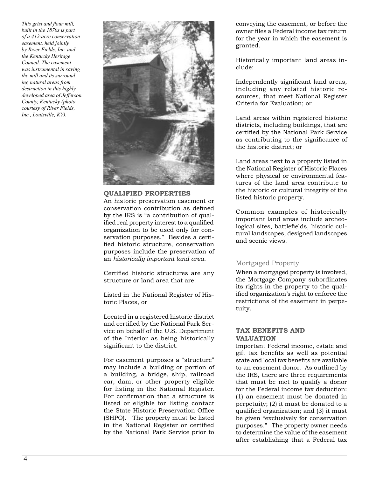*This grist and flour mill, built in the 1870s is part of a 412-acre conservation easement, held jointly by River Fields, Inc. and the Kentucky Heritage Council. The easement was instrumental in saving the mill and its surrounding natural areas from destruction in this highly developed area of Jefferson County, Kentucky (photo courtesy of River Fields, Inc., Louisville, KY).*



#### **QUALIFIED PROPERTIES**

An historic preservation easement or conservation contribution as defined by the IRS is "a contribution of qualified real property interest to a qualified organization to be used only for conservation purposes." Besides a certified historic structure, conservation purposes include the preservation of an *historically important land area*.

Certified historic structures are any structure or land area that are:

Listed in the National Register of Historic Places, or

Located in a registered historic district and certified by the National Park Service on behalf of the U.S. Department of the Interior as being historically significant to the district.

For easement purposes a "structure" may include a building or portion of a building, a bridge, ship, railroad car, dam, or other property eligible for listing in the National Register. For confirmation that a structure is listed or eligible for listing contact the State Historic Preservation Office (SHPO). The property must be listed in the National Register or certified by the National Park Service prior to

conveying the easement, or before the owner files a Federal income tax return for the year in which the easement is granted.

Historically important land areas include:

Independently significant land areas, including any related historic resources, that meet National Register Criteria for Evaluation; or

Land areas within registered historic districts, including buildings, that are certified by the National Park Service as contributing to the significance of the historic district; or

Land areas next to a property listed in the National Register of Historic Places where physical or environmental features of the land area contribute to the historic or cultural integrity of the listed historic property.

Common examples of historically important land areas include archeological sites, battlefields, historic cultural landscapes, designed landscapes and scenic views.

#### Mortgaged Property

When a mortgaged property is involved, the Mortgage Company subordinates its rights in the property to the qualified organization's right to enforce the restrictions of the easement in perpetuity.

#### **TAX BENEFITS AND VALUATION**

Important Federal income, estate and gift tax benefits as well as potential state and local tax benefits are available to an easement donor. As outlined by the IRS, there are three requirements that must be met to qualify a donor for the Federal income tax deduction: (1) an easement must be donated in perpetuity; (2) it must be donated to a qualified organization; and (3) it must be given "exclusively for conservation purposes." The property owner needs to determine the value of the easement after establishing that a Federal tax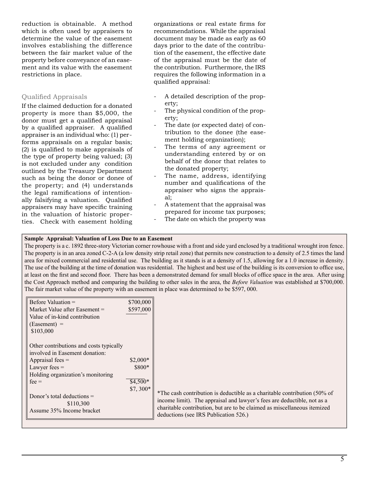reduction is obtainable. A method which is often used by appraisers to determine the value of the easement involves establishing the difference between the fair market value of the property before conveyance of an easement and its value with the easement restrictions in place.

#### Qualified Appraisals

If the claimed deduction for a donated property is more than \$5,000, the donor must get a qualified appraisal by a qualified appraiser. A qualified appraiser is an individual who: (1) performs appraisals on a regular basis; (2) is qualified to make appraisals of the type of property being valued; (3) is not excluded under any condition outlined by the Treasury Department such as being the donor or donee of the property; and (4) understands the legal ramifications of intentionally falsifying a valuation. Qualified appraisers may have specific training in the valuation of historic properties. Check with easement holding organizations or real estate firms for recommendations. While the appraisal document may be made as early as 60 days prior to the date of the contribution of the easement, the effective date of the appraisal must be the date of the contribution. Furthermore, the IRS requires the following information in a qualified appraisal:

- A detailed description of the property;
- The physical condition of the property;
- The date (or expected date) of contribution to the donee (the easement holding organization);
- The terms of any agreement or understanding entered by or on behalf of the donor that relates to the donated property;
- The name, address, identifying number and qualifications of the appraiser who signs the appraisal;
- A statement that the appraisal was prepared for income tax purposes;
- The date on which the property was

#### **Sample Appraisal: Valuation of Loss Due to an Easement**

The property is a c. 1892 three-story Victorian corner rowhouse with a front and side yard enclosed by a traditional wrought iron fence. The property is in an area zoned C-2-A (a low density strip retail zone) that permits new construction to a density of 2.5 times the land area for mixed commercial and residential use. The building as it stands is at a density of 1.5, allowing for a 1.0 increase in density. The use of the building at the time of donation was residential. The highest and best use of the building is its conversion to office use, at least on the first and second floor. There has been a demonstrated demand for small blocks of office space in the area. After using the Cost Approach method and comparing the building to other sales in the area, the *Before Valuation* was established at \$700,000. The fair market value of the property with an easement in place was determined to be \$597, 000.

| Before Valuation $=$<br>Market Value after Easement $=$<br>Value of in-kind contribution<br>$(Easement) =$                      | \$700,000<br>\$597,000 |                                                                                                                                                                                                                                                                           |
|---------------------------------------------------------------------------------------------------------------------------------|------------------------|---------------------------------------------------------------------------------------------------------------------------------------------------------------------------------------------------------------------------------------------------------------------------|
| \$103,000<br>Other contributions and costs typically<br>involved in Easement donation:<br>Appraisal fees $=$<br>Lawyer fees $=$ | $$2.000*$<br>$$800*$   |                                                                                                                                                                                                                                                                           |
| Holding organization's monitoring<br>$fee =$<br>Donor's total deductions $=$<br>\$110,300<br>Assume 35% Income bracket          | $$4,500*$<br>$$7,300*$ | *The cash contribution is deductible as a charitable contribution (50% of<br>income limit). The appraisal and lawyer's fees are deductible, not as a<br>charitable contribution, but are to be claimed as miscellaneous itemized<br>deductions (see IRS Publication 526.) |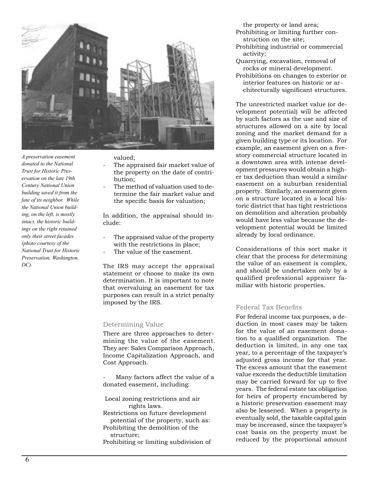

*A preservation easement donated to the National Trust for Historic Preservation on the late 19th Century National Union building saved it from the fate of its neighbor. While the National Union building, on the left, is mostly intact, the historic buildings on the right retained only their street facades (photo courtesy of the National Trust for Historic Preservation, Washington, DC).*

valued;

- The appraised fair market value of the property on the date of contribution;
- The method of valuation used to determine the fair market value and the specific basis for valuation;

In addition, the appraisal should include:

- The appraised value of the property with the restrictions in place;
- The value of the easement.

The IRS may accept the appraisal statement or choose to make its own determination. It is important to note that overvaluing an easement for tax purposes can result in a strict penalty imposed by the IRS.

#### Determining Value

There are three approaches to determining the value of the easement. They are: Sales Comparison Approach, Income Capitalization Approach, and Cost Approach.

Many factors affect the value of a donated easement, including:

 Local zoning restrictions and air rights laws. Restrictions on future development potential of the property, such as: Prohibiting the demolition of the structure; Prohibiting or limiting subdivision of the property or land area;

- Prohibiting or limiting further construction on the site;
- Prohibiting industrial or commercial activity;
- Quarrying, excavation, removal of rocks or mineral development.
- Prohibitions on changes to exterior or interior features on historic or architecturally significant structures.

The unrestricted market value (or development potential) will be affected by such factors as the use and size of structures allowed on a site by local zoning and the market demand for a given building type or its location. For example, an easement given on a fivestory commercial structure located in a downtown area with intense development pressures would obtain a higher tax deduction than would a similar easement on a suburban residential property. Similarly, an easement given on a structure located in a local historic district that has tight restrictions on demolition and alteration probably would have less value because the development potential would be limited already by local ordinance.

Considerations of this sort make it clear that the process for determining the value of an easement is complex, and should be undertaken only by a qualified professional appraiser familiar with historic properties.

#### Federal Tax Benefits

For federal income tax purposes, a deduction in most cases may be taken for the value of an easement donation to a qualified organization. The deduction is limited, in any one tax year, to a percentage of the taxpayer's adjusted gross income for that year. The excess amount that the easement value exceeds the deductible limitation may be carried forward for up to five years. The federal estate tax obligation for heirs of property encumbered by a historic preservation easement may also be lessened. When a property is eventually sold, the taxable capital gain may be increased, since the taxpayer's cost basis on the property must be reduced by the proportional amount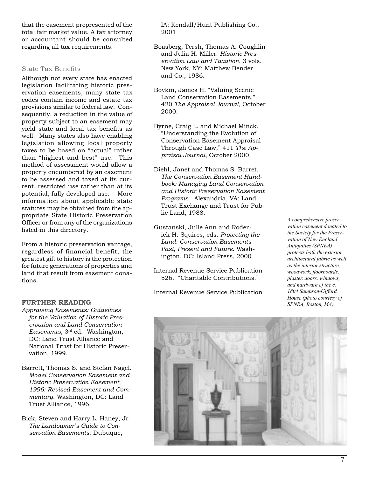that the easement prepresented of the total fair market value. A tax attorney or accountant should be consulted regarding all tax requirements.

#### State Tax Benefits

Although not every state has enacted legislation facilitating historic preservation easements, many state tax codes contain income and estate tax provisions similar to federal law. Consequently, a reduction in the value of property subject to an easement may yield state and local tax benefits as well. Many states also have enabling legislation allowing local property taxes to be based on "actual" rather than "highest and best" use. This method of assessment would allow a property encumbered by an easement to be assessed and taxed at its current, restricted use rather than at its potential, fully developed use. More information about applicable state statutes may be obtained from the appropriate State Historic Preservation Officer or from any of the organizations listed in this directory.

From a historic preservation vantage, regardless of financial benefit, the greatest gift to history is the protection for future generations of properties and land that result from easement donations.

#### **FURTHER READING**

- *Appraising Easements: Guidelines for the Valuation of Historic Preservation and Land Conservation Easements*, 3rd ed. Washington, DC: Land Trust Alliance and National Trust for Historic Preservation, 1999.
- Barrett, Thomas S. and Stefan Nagel. *Model Conservation Easement and Historic Preservation Easement, 1996: Revised Easement and Commentary*. Washington, DC: Land Trust Alliance, 1996.
- Bick, Steven and Harry L. Haney, Jr. *The Landowner's Guide to Conservation Easements*. Dubuque,

IA: Kendall/Hunt Publishing Co., 2001

- Boasberg, Tersh, Thomas A. Coughlin and Julia H. Miller. *Historic Preservation Law and Taxation*. 3 vols. New York, NY: Matthew Bender and Co., 1986.
- Boykin, James H. "Valuing Scenic Land Conservation Easements," 420 *The Appraisal Journal*, October 2000.
- Byrne, Craig L. and Michael Minck. "Understanding the Evolution of Conservation Easement Appraisal Through Case Law," 411 *The Appraisal Journal*, October 2000.
- Diehl, Janet and Thomas S. Barret. *The Conservation Easement Handbook: Managing Land Conservation and Historic Preservation Easement Programs*. Alexandria, VA: Land Trust Exchange and Trust for Public Land, 1988.
- Gustanski, Julie Ann and Roderick H. Squires, eds. *Protecting the Land: Conservation Easements Past, Present and Future*. Washington, DC: Island Press, 2000
- Internal Revenue Service Publication 526. "Charitable Contributions."

Internal Revenue Service Publication

*A comprehensive preservation easement donated to the Society for the Preservation of New England Antiquities (SPNEA) protects both the exterior architectural fabric as well as the interior structure, woodwork, floorboards, plaster, doors, windows, and hardware of the c. 1804 Sampson-Gifford House (photo courtesy of SPNEA, Boston, MA).*

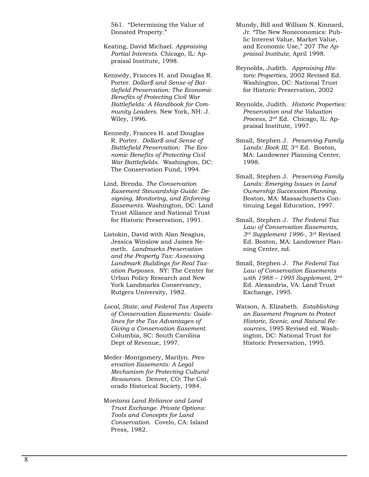561. "Determining the Value of Donated Property."

- Keating, David Michael. *Appraising Partial Interests*. Chicago, IL: Appraisal Institute, 1998.
- Kennedy, Frances H. and Douglas R. Porter. *Dollar\$ and Sense of Battlefield Preservation: The Economic Benefits of Protecting Civil War Battlefields: A Handbook for Community Leaders*. New York, NH: J. Wiley, 1996.
- Kennedy, Frances H. and Douglas R. Porter. *Dollar\$ and Sense of Battlefield Preservation: The Economic Benefits of Protecting Civil War Battlefields*. Washington, DC: The Conservation Fund, 1994.
- Lind, Brenda. *The Conservation Easement Stewardship Guide: Designing, Monitoring, and Enforcing Easements*. Washington, DC: Land Trust Alliance and National Trust for Historic Preservation, 1991.
- Listokin, David with Alan Neagius, Jessica Winslow and James Nemeth. *Landmarks Preservation and the Property Tax: Assessing Landmark Buildings for Real Taxation Purposes.* NY: The Center for Urban Policy Research and New York Landmarks Conservancy, Rutgers University, 1982.
- *Local, State, and Federal Tax Aspects of Conservation Easements: Guidelines for the Tax Advantages of Giving a Conservation Easement*. Columbia, SC: South Carolina Dept of Revenue, 1997.
- Meder-Montgomery, Marilyn. *Preservation Easements: A Legal Mechanism for Protecting Cultural Resources*. Denver, CO: The Colorado Historical Society, 1984.
- M*ontana Land Reliance and Land Trust Exchange. Private Options: Tools and Concepts for Land Conservation*. Covelo, CA: Island Press, 1982.
- Mundy, Bill and William N. Kinnard, Jr. "The New Noneconomics: Public Interest Value, Market Value, and Economic Use," 207 *The Appraisal Institute*, April 1998.
- Reynolds, Judith. *Appraising Historic Properties*, 2002 Revised Ed. Washington, DC: National Trust for Historic Preservation, 2002
- Reynolds, Judith. *Historic Properties: Preservation and the Valuation Process*, 2nd Ed. Chicago, IL: Appraisal Institute, 1997.
- Small, Stephen J. *Preserving Family Lands: Book III*, 3rd Ed. Boston, MA: Landowner Planning Center, 1998.
- Small, Stephen J. *Preserving Family Lands: Emerging Issues in Land Ownership Succession Planning*. Boston, MA: Massachusetts Continuing Legal Education, 1997.
- Small, Stephen J. *The Federal Tax Law of Conservation Easements, 3rd Supplement 1996-*, 3rd Revised Ed. Boston, MA: Landowner Planning Center, nd.
- Small, Stephen J. *The Federal Tax Law of Conservation Easements with 1988 – 1995 Supplement*, 2nd Ed. Alexandria, VA: Land Trust Exchange, 1995.
- Watson, A. Elizabeth. *Establishing an Easement Program to Protect Historic, Scenic, and Natural Resources*, 1995 Revised ed. Washington, DC: National Trust for Historic Preservation, 1995.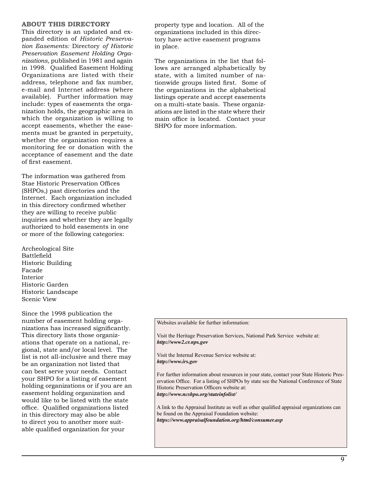#### **ABOUT THIS DIRECTORY**

This directory is an updated and expanded edition of *Historic Preservation Easements:* Directory *of Historic Preservation Easement Holding Organizations*, published in 1981 and again in 1998. Qualified Easement Holding Organizations are listed with their address, telephone and fax number, e-mail and Internet address (where available). Further information may include: types of easements the organization holds, the geographic area in which the organization is willing to accept easements, whether the easements must be granted in perpetuity, whether the organization requires a monitoring fee or donation with the acceptance of easement and the date of first easement.

The information was gathered from Stae Historic Preservation Offices (SHPOs,) past directories and the Internet. Each organization included in this directory confirmed whether they are willing to receive public inquiries and whether they are legally authorized to hold easements in one or more of the following categories:

Archeological Site Battlefield Historic Building Facade Interior Historic Garden Historic Landscape Scenic View

Since the 1998 publication the number of easement holding organizations has increased significantly. This directory lists those organizations that operate on a national, regional, state and/or local level. The list is not all-inclusive and there may be an organization not listed that can best serve your needs. Contact your SHPO for a listing of easement holding organizations or if you are an easement holding organization and would like to be listed with the state office. Qualified organizations listed in this directory may also be able to direct you to another more suitable qualified organization for your

property type and location. All of the organizations included in this directory have active easement programs in place.

The organizations in the list that follows are arranged alphabetically by state, with a limited number of nationwide groups listed first. Some of the organizations in the alphabetical listings operate and accept easements on a multi-state basis. These organizations are listed in the state where their main office is located. Contact your SHPO for more information.

Websites available for further information:

Visit the Heritage Preservation Services, National Park Service website at: *http://www2.cr.nps.gov*

Visit the Internal Revenue Service website at: *http://www.irs.gov*

For further information about resources in your state, contact your State Historic Preservation Office. For a listing of SHPOs by state see the National Conference of State Historic Preservation Officers website at: *http://www.ncshpo.org/stateinfolist/*

A link to the Appraisal Institute as well as other qualified appraisal organizations can be found on the Appraisal Foundation website: *https://www.appraisalfoundation.org/html/consumer.asp*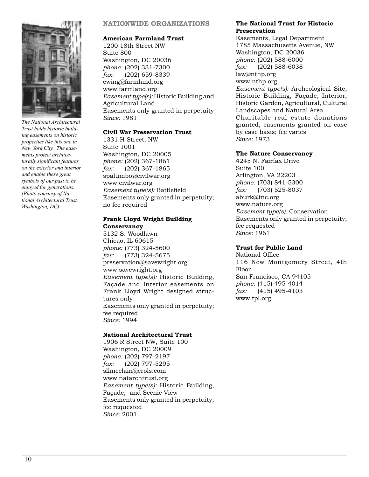

*The National Architectural Trust holds historic building easements on historic properties like this one in New York City. The easements protect architecturally significant features on the exterior and interior and enable these great symbols of our past to be enjoyed for generations. (Photo courtesy of National Architectural Trust, Washington, DC)*

#### **NATIONWIDE ORGANIZATIONS**

#### **American Farmland Trust**

1200 18th Street NW Suite 800 Washington, DC 20036 *phone:* (202) 331-7300 *fax:* (202) 659-8339 ewing@farmland.org www.farmland.org *Easement type(s):* Historic Building and Agricultural Land Easements only granted in perpetuity *Since:* 1981

#### **Civil War Preservation Trust**

1331 H Street, NW Suite 1001 Washington, DC 20005 *phone:* (202) 367-1861 *fax:* (202) 367-1865 spalumbo@civilwar.org www.civilwar.org *Easement type(s):* Battlefield Easements only granted in perpetuity; no fee required

#### **Frank Lloyd Wright Building Conservancy**

5132 S. Woodlawn Chicao, IL 60615 *phone:* (773) 324-5600 *fax:* (773) 324-5675 preservation@savewright.org www.savewright.org *Easement type(s):* Historic Building, Façade and Interior easements on Frank Lloyd Wright designed structures only Easements only granted in perpetuity; fee required *Since:* 1994

#### **National Architectural Trust**

1906 R Street NW, Suite 100 Washington, DC 20009 *phone:* (202) 797-2197 *fax:* (202) 797-5295 sllmcclain@erols.com www.natarchtrust.org *Easement type(s):* Historic Building, Façade, and Scenic View Easements only granted in perpetuity; fee requested *Since:* 2001

#### **The National Trust for Historic Preservation**

Easements, Legal Department 1785 Massachusetts Avenue, NW Washington, DC 20036 *phone:* (202) 588-6000 *fax:* (202) 588-6038 law@nthp.org www.nthp.org *Easement type(s):* Archeological Site, Historic Building, Façade, Interior, Historic Garden, Agricultural, Cultural Landscapes and Natural Area Charitable real estate donations granted; easements granted on case by case basis; fee varies *Since:* 1973

#### **The Nature Conservancy**

4245 N. Fairfax Drive Suite 100 Arlington, VA 22203 *phone:* (703) 841-5300 *fax:* (703) 525-8037 aburk@tnc.org www.nature.org *Easement type(s):* Conservation Easements only granted in perpetuity; fee requested *Since:* 1961

#### **Trust for Public Land**

National Office 116 New Montgomery Street, 4th Floor San Francisco, CA 94105 *phone:* (415) 495-4014 *fax:* (415) 495-4103 www.tpl.org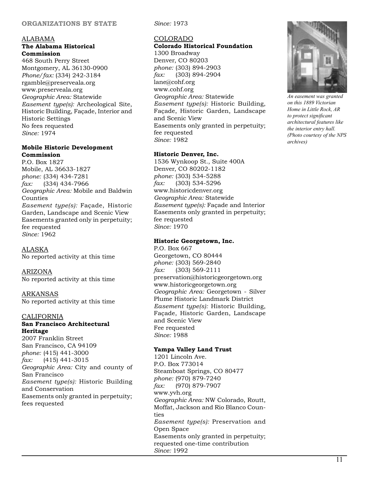#### **ORGANIZATIONS BY STATE**

#### ALABAMA **The Alabama Historical**

**Commission** 468 South Perry Street Montgomery, AL 36130-0900 *Phone/fax:* (334) 242-3184 rgamble@preserveala.org www.preserveala.org *Geographic Area:* Statewide *Easement type(s):* Archeological Site, Historic Building, Façade, Interior and Historic Settings No fees requested *Since:* 1974

#### **Mobile Historic Development Commission**

P.O. Box 1827 Mobile, AL 36633-1827 *phone:* (334) 434-7281 *fax:* (334) 434-7966 *Geographic Area:* Mobile and Baldwin Counties *Easement type(s):* Façade, Historic Garden, Landscape and Scenic View Easements granted only in perpetuity; fee requested *Since:* 1962

ALASKA No reported activity at this time

ARIZONA No reported activity at this time

ARKANSAS No reported activity at this time

#### CALIFORNIA

#### **San Francisco Architectural Heritage**

2007 Franklin Street San Francisco, CA 94109 *phone:* (415) 441-3000 *fax:* (415) 441-3015 *Geographic Area:* City and county of San Francisco *Easement type(s):* Historic Building and Conservation Easements only granted in perpetuity; fees requested

*Since:* 1973

#### COLORADO

**Colorado Historical Foundation** 1300 Broadway Denver, CO 80203 *phone:* (303) 894-2903 *fax:* (303) 894-2904 lane@cohf.org www.cohf.org *Geographic Area:* Statewide *Easement type(s):* Historic Building, Façade, Historic Garden, Landscape and Scenic View Easements only granted in perpetuity; fee requested *Since:* 1982

#### **Historic Denver, Inc.**

1536 Wynkoop St., Suite 400A Denver, CO 80202-1182 *phone:* (303) 534-5288 *fax:* (303) 534-5296 www.historicdenver.org *Geographic Area:* Statewide *Easement type(s):* Façade and Interior Easements only granted in perpetuity; fee requested *Since:* 1970

#### **Historic Georgetown, Inc.**

P.O. Box 667 Georgetown, CO 80444 *phone:* (303) 569-2840 *fax:* (303) 569-2111 preservation@historicgeorgetown.org www.historicgeorgetown.org *Geographic Area:* Georgetown - Silver Plume Historic Landmark District *Easement type(s):* Historic Building, Façade, Historic Garden, Landscape and Scenic View Fee requested *Since:* 1988

#### **Yampa Valley Land Trust**

1201 Lincoln Ave. P.O. Box 773014 Steamboat Springs, CO 80477 *phone:* (970) 879-7240 *fax:* (970) 879-7907 www.yvh.org *Geographic Area:* NW Colorado, Routt, Moffat, Jackson and Rio Blanco Counties *Easement type(s):* Preservation and Open Space Easements only granted in perpetuity; requested one-time contribution *Since:* 1992



*An easement was granted on this 1889 Victorian Home in Little Rock, AR to protect significant architectural features like the interior entry hall. (Photo courtesy of the NPS archives)*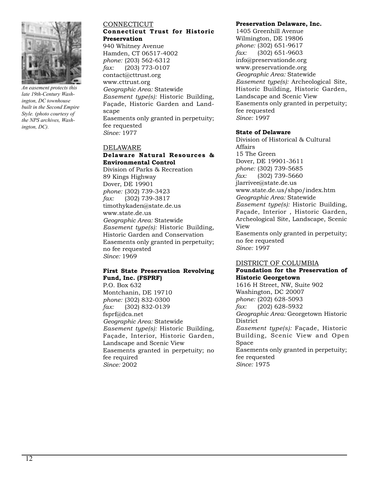

*An easement protects this late 19th-Century Washington, DC townhouse built in the Second Empire Style. (photo courtesy of the NPS archives, Washington, DC).*

#### **CONNECTICUT Connecticut Trust for Historic Preservation**

940 Whitney Avenue Hamden, CT 06517-4002 *phone:* (203) 562-6312 *fax:* (203) 773-0107 contact@cttrust.org www.cttrust.org *Geographic Area:* Statewide *Easement type(s):* Historic Building, Façade, Historic Garden and Landscape Easements only granted in perpetuity; fee requested *Since:* 1977

#### DELAWARE **Delaware Natural Resources & Environmental Control**

Division of Parks & Recreation 89 Kings Highway Dover, DE 19901 *phone:* (302) 739-3423 *fax:* (302) 739-3817 timothykaden@state.de.us www.state.de.us *Geographic Area:* Statewide *Easement type(s):* Historic Building, Historic Garden and Conservation Easements only granted in perpetuity; no fee requested *Since:* 1969

#### **First State Preservation Revolving Fund, Inc. (FSPRF)**

P.O. Box 632 Montchanin, DE 19710 *phone:* (302) 832-0300 *fax:* (302) 832-0139 fsprf@dca.net *Geographic Area:* Statewide *Easement type(s):* Historic Building, Façade, Interior, Historic Garden, Landscape and Scenic View Easements granted in perpetuity; no fee required *Since:* 2002

#### **Preservation Delaware, Inc.**

1405 Greenhill Avenue Wilmington, DE 19806 *phone:* (302) 651-9617 *fax:* (302) 651-9603 info@preservationde.org www.preservationde.org *Geographic Area:* Statewide *Easement type(s):* Archeological Site, Historic Building, Historic Garden, Landscape and Scenic View Easements only granted in perpetuity; fee requested *Since:* 1997

#### **State of Delaware**

Division of Historical & Cultural Affairs 15 The Green Dover, DE 19901-3611 *phone:* (302) 739-5685 *fax:* (302) 739-5660 jlarrivee@state.de.us www.state.de.us/shpo/index.htm *Geographic Area:* Statewide *Easement type(s):* Historic Building, Façade, Interior , Historic Garden, Archeological Site, Landscape, Scenic View Easements only granted in perpetuity; no fee requested *Since:* 1997

#### DISTRICT OF COLUMBIA

#### **Foundation for the Preservation of Historic Georgetown**

1616 H Street, NW, Suite 902 Washington, DC 20007 *phone:* (202) 628-5093 *fax:* (202) 628-5932 *Geographic Area:* Georgetown Historic District *Easement type(s):* Façade, Historic Building, Scenic View and Open Space Easements only granted in perpetuity; fee requested *Since:* 1975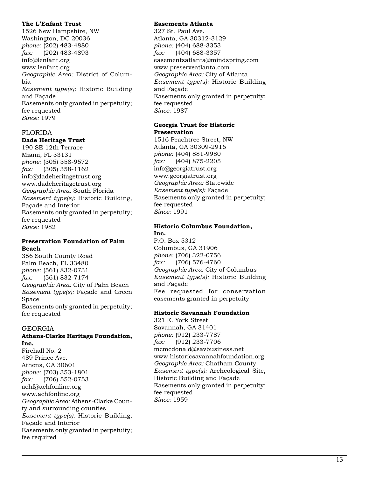#### **The L'Enfant Trust**

1526 New Hampshire, NW Washington, DC 20036 *phone:* (202) 483-4880 *fax:* (202) 483-4893 info@lenfant.org www.lenfant.org *Geographic Area:* District of Colum bia *Easement type(s):* Historic Building and Façade Easements only granted in perpetuity; fee requested *Since:* 1979

#### FLORIDA

#### **Dade Heritage Trust**

190 SE 12th Terrace Miami, FL 33131 *phone:* (305) 358-9572 *fax:* (305) 358-1162 info@dadeheritagetrust.org www.dadeheritagetrust.org *Geographic Area:* South Florida *Easement type(s):* Historic Building, Façade and Interior Easements only granted in perpetuity; fee requested *Since:* 1982

#### **Preservation Foundation of Palm Beach**

356 South County Road Palm Beach, FL 33480 *phone:* (561) 832-0731 *fax:* (561) 832-7174 *Geographic Area:* City of Palm Beach *Easement type(s):* Façade and Green Space Easements only granted in perpetuity; fee requested

#### GEORGIA

#### **Athens-Clarke Heritage Foundation, Inc.**

Firehall No. 2 489 Prince Ave. Athens, GA 30601 *phone:* (703) 353-1801 *fax:* (706) 552-0753 achf@achfonline.org www.achfonline.org *Geographic Area:* Athens-Clarke Coun ty and surrounding counties *Easement type(s):* Historic Building, Façade and Interior Easements only granted in perpetuity; fee required

#### **Easements Atlanta**

327 St. Paul Ave. Atlanta, GA 30312-3129 *phone:* (404) 688-3353 *fax:* (404) 688-3357 easementsatlanta@mindspring.com www.preserveatlanta.com *Geographic Area:* City of Atlanta *Easement type(s):* Historic Building and Façade Easements only granted in perpetuity; fee requested *Since:* 1987

#### **Georgia Trust for Historic Preservation**

1516 Peachtree Street, NW Atlanta, GA 30309-2916 *phone:* (404) 881-9980 *fax:* (404) 875-2205 info@georgiatrust.org www.georgiatrust.org *Geographic Area:* Statewide *Easement type(s):* Façade Easements only granted in perpetuity; fee requested *Since:* 1991

#### **Historic Columbus Foundation, Inc.**

P.O. Box 5312 Columbus, GA 31906 *phone:* (706) 322-0756 *fax:* (706) 576-4760 *Geographic Area:* City of Columbus *Easement type(s):* Historic Building and Façade Fee requested for conservation easements granted in perpetuity

#### **Historic Savannah Foundation**

321 E. York Street Savannah, GA 31401 *phone:* (912) 233-7787 *fax:* (912) 233-7706 mcmcdonald@savbusiness.net www.historicsavannahfoundation.org *Geographic Area:* Chatham County *Easement type(s):* Archeological Site, Historic Building and Façade Easements only granted in perpetuity; fee requested *Since:* 1959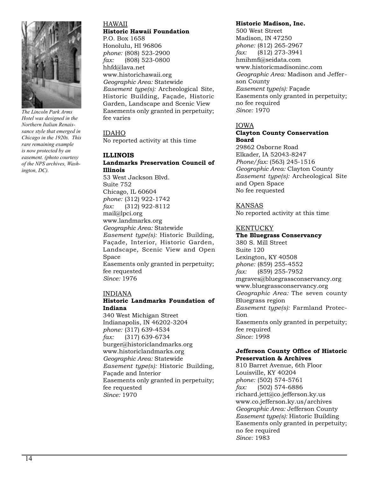

*The Lincoln Park Arms Hotel was designed in the Northern Italian Renaissance style that emerged in Chicago in the 1920s. This rare remaining example is now protected by an easement. (photo courtesy of the NPS archives, Washington, DC).*

#### HAWAII **Historic Hawaii Foundation** P.O. Box 1658

Honolulu, HI 96806 *phone:* (808) 523-2900 *fax:* (808) 523-0800 hhfd@lava.net www.historichawaii.org *Geographic Area:* Statewide *Easement type(s):* Archeological Site, Historic Building, Façade, Historic Garden, Landscape and Scenic View Easements only granted in perpetuity; fee varies

IDAHO No reported activity at this time

#### **ILLINOIS Landmarks Preservation Council of Illinois**

53 West Jackson Blvd. Suite 752 Chicago, IL 60604 *phone:* (312) 922-1742 *fax:* (312) 922-8112 mail@lpci.org www.landmarks.org *Geographic Area:* Statewide *Easement type(s):* Historic Building, Façade, Interior, Historic Garden, Landscape, Scenic View and Open Space Easements only granted in perpetuity; fee requested *Since:* 1976

#### INDIANA

#### **Historic Landmarks Foundation of Indiana**

340 West Michigan Street Indianapolis, IN 46202-3204 *phone:* (317) 639-4534 *fax:* (317) 639-6734 burger@historiclandmarks.org www.historiclandmarks.org *Geographic Area:* Statewide *Easement type(s):* Historic Building, Façade and Interior Easements only granted in perpetuity; fee requested *Since:* 1970

#### **Historic Madison, Inc.**

500 West Street Madison, IN 47250 *phone:* (812) 265-2967 *fax:* (812) 273-3941 hmihmfi@seidata.com www.historicmadisoninc.com *Geographic Area:* Madison and Jefferson County *Easement type(s):* Façade Easements only granted in perpetuity; no fee required *Since:* 1970

#### IOWA

#### **Clayton County Conservation Board**

29862 Osborne Road Elkader, IA 52043-8247 *Phone/fax:* (563) 245-1516 *Geographic Area:* Clayton County *Easement type(s):* Archeological Site and Open Space No fee requested

#### KANSAS

No reported activity at this time

#### KENTUCKY

#### **The Bluegrass Conservancy** 380 S. Mill Street Suite 120 Lexington, KY 40508 *phone:* (859) 255-4552 *fax:* (859) 255-7952 mgraves@bluegrassconservancy.org www.bluegrassconservancy.org *Geographic Area:* The seven county Bluegrass region *Easement type(s):* Farmland Protection Easements only granted in perpetuity; fee required *Since:* 1998

#### **Jefferson County Office of Historic Preservation & Archives**

810 Barret Avenue, 6th Floor Louisville, KY 40204 *phone:* (502) 574-5761 *fax:* (502) 574-6886 richard.jett@co.jefferson.ky.us www.co.jefferson.ky.us/archives *Geographic Area:* Jefferson County *Easement type(s):* Historic Building Easements only granted in perpetuity; no fee required *Since:* 1983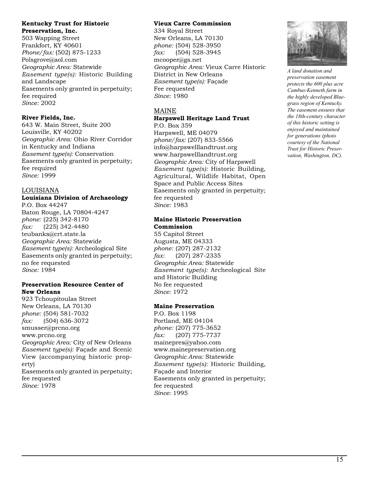#### **Kentucky Trust for Historic Preservation, Inc.**

503 Wapping Street Frankfort, KY 40601 *Phone/fax:* (502) 875-1233 Polsgrove@aol.com *Geographic Area:* Statewide *Easement type(s):* Historic Building and Landscape Easements only granted in perpetuity; fee required *Since:* 2002

#### **River Fields, Inc.**

643 W. Main Street, Suite 200 Louisville, KY 40202 *Geographic Area:* Ohio River Corridor in Kentucky and Indiana *Easement type(s):* Conservation Easements only granted in perpetuity; fee required *Since:* 1999

#### LOUISIANA

#### **Louisiana Division of Archaeology** P.O. Box 44247

Baton Rouge, LA 70804-4247 *phone:* (225) 342-8170 *fax:* (225) 342-4480 teubanks@crt.state.la *Geographic Area:* Statewide *Easement type(s):* Archeological Site Easements only granted in perpetuity; no fee requested *Since:* 1984

#### **Preservation Resource Center of New Orleans**

923 Tchoupitoulas Street New Orleans, LA 70130 *phone:* (504) 581-7032 *fax:* (504) 636-3072 smusser@prcno.org www.prcno.org *Geographic Area:* City of New Orleans *Easement type(s):* Façade and Scenic View (accompanying historic property) Easements only granted in perpetuity; fee requested *Since:* 1978

#### **Vieux Carre Commission**

334 Royal Street New Orleans, LA 70130 *phone:* (504) 528-3950 *fax:* (504) 528-3945 mcooper@gs.net *Geographic Area:* Vieux Carre Historic District in New Orleans *Easement type(s):* Façade Fee requested *Since:* 1980

#### MAINE

#### **Harpswell Heritage Land Trust** P.O. Box 359

Harpswell, ME 04079 *phone/fax:* (207) 833-5566 info@harpswelllandtrust.org www.harpswelllandtrust.org *Geographic Area:* City of Harpswell *Easement type(s):* Historic Building, Agricultural, Wildlife Habitat, Open Space and Public Access Sites Easements only granted in perpetuity; fee requested *Since:* 1983

#### **Maine Historic Preservation Commission**

55 Capitol Street Augusta, ME 04333 *phone:* (207) 287-2132 *fax:* (207) 287-2335 *Geographic Area:* Statewide *Easement type(s):* Archeological Site and Historic Building No fee requested *Since:* 1972

#### **Maine Preservation**

P.O. Box 1198 Portland, ME 04104 *phone:* (207) 775-3652 *fax:* (207) 775-7737 mainepres@yahoo.com www.mainepreservation.org *Geographic Area:* Statewide *Easement type(s):* Historic Building, Façade and Interior Easements only granted in perpetuity; fee requested *Since:* 1995



*A land donation and preservation easement protects the 600 plus acre Cambus-Kenneth farm in the highly developed Bluegrass region of Kentucky. The easement ensures that the 18th-century character of this historic setting is enjoyed and maintained for generations (photo courtesy of the National Trust for Historic Preservation, Washington, DC).*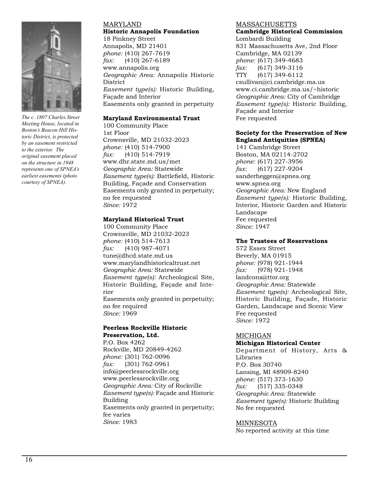

*The c. 1807 Charles Street Meeting House, located in Boston's Beacon Hill Historic District, is protected by an easement restricted to the exterior. The original easement placed on the structure in 1948 represents one of SPNEA's earliest easements (photo courtesy of SPNEA).*

#### MARYLAND **Historic Annapolis Foundation**

18 Pinkney Street Annapolis, MD 21401 *phone:* (410) 267-7619 *fax:* (410) 267-6189 www.annapolis.org *Geographic Area:* Annapolis Historic District *Easement type(s):* Historic Building, Façade and Interior Easements only granted in perpetuity

#### **Maryland Environmental Trust**

100 Community Place 1st Floor Crownsville, MD 21032-2023 *phone:* (410) 514-7900 *fax:* (410) 514-7919 www.dhr.state.md.us/met *Geographic Area:* Statewide *Easement type(s):* Battlefield, Historic Building, Façade and Conservation Easements only granted in perpetuity; no fee requested *Since:* 1972

#### **Maryland Historical Trust**

100 Community Place Crownsville, MD 21032-2023 *phone:* (410) 514-7613 *fax:* (410) 987-4071 tune@dhcd.state.md.us www.marylandhistoricaltrust.net *Geographic Area:* Statewide *Easement type(s):* Archeological Site, Historic Building, Façade and Interior Easements only granted in perpetuity; no fee required *Since:* 1969

#### **Peerless Rockville Historic Preservation, Ltd.**

P.O. Box 4262 Rockville, MD 20849-4262 *phone:* (301) 762-0096 *fax:* (301) 762-0961 info@peerlessrockville.org www.peerlessrockville.org *Geographic Area:* City of Rockville *Easement type(s):* Façade and Historic Building Easements only granted in perpetuity; fee varies *Since:* 1983

#### MASSACHUSETTS

**Cambridge Historical Commission** Lombardi Building

831 Massachusetts Ave, 2nd Floor Cambridge, MA 02139 *phone:* (617) 349-4683 *fax:* (617) 349-3116 TTY (617) 349-6112 csullivan@ci.cambridge.ma.us www.ci.cambridge.ma.us/~historic *Geographic Area:* City of Cambridge *Easement type(s):* Historic Building, Façade and Interior Fee requested

#### **Society for the Preservation of New England Antiquities (SPNEA)**

141 Cambridge Street Boston, MA 02114-2702 *phone:* (617) 227-3956 *fax:* (617) 227-9204 sanderheggen@spnea.org www.spnea.org *Geographic Area:* New England *Easement type(s):* Historic Building, Interior, Historic Garden and Historic Landscape Fee requested *Since:* 1947

#### **The Trustees of Reservations**

572 Essex Street Beverly, MA 01915 *phone:* (978) 921-1944 *fax:* (978) 921-1948 landcons@ttor.org *Geographic Area:* Statewide *Easement type(s):* Archeological Site, Historic Building, Façade, Historic Garden, Landscape and Scenic View Fee requested *Since:* 1972

#### MICHIGAN **Michigan Historical Center**

Department of History, Arts & Libraries P.O. Box 30740 Lansing, MI 48909-8240 *phone:* (517) 373-1630 *fax:* (517) 335-0348 *Geographic Area:* Statewide *Easement type(s):* Historic Building No fee requested

#### MINNESOTA

No reported activity at this time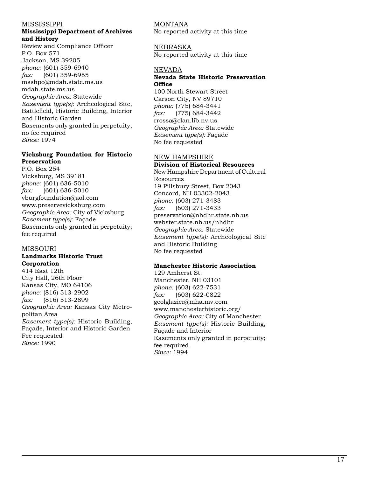#### MISSISSIPPI

#### **Mississippi Department of Archives and History**

Review and Compliance Officer P.O. Box 571 Jackson, MS 39205 *phone:* (601) 359-6940 *fax:* (601) 359-6955 msshpo@mdah.state.ms.us mdah.state.ms.us *Geographic Area:* Statewide *Easement type(s):* Archeological Site, Battlefield, Historic Building, Interior and Historic Garden Easements only granted in perpetuity; no fee required *Since:* 1974

#### **Vicksburg Foundation for Historic Preservation**

P.O. Box 254 Vicksburg, MS 39181 *phone:* (601) 636-5010 *fax:* (601) 636-5010 vburgfoundation@aol.com www.preservevicksburg.com *Geographic Area:* City of Vicksburg *Easement type(s):* Façade Easements only granted in perpetuity; fee required

#### MISSOURI

#### **Landmarks Historic Trust Corporation**

414 East 12th City Hall, 26th Floor Kansas City, MO 64106 *phone:* (816) 513-2902 *fax:* (816) 513-2899 *Geographic Area:* Kansas City Metro politan Area *Easement type(s):* Historic Building, Façade, Interior and Historic Garden Fee requested *Since:* 1990

#### MONTANA

No reported activity at this time

#### NEBRASKA

No reported activity at this time

#### NEVADA

#### **Nevada State Historic Preservation Office**

100 North Stewart Street Carson City, NV 89710 *phone:* (775) 684-3441 *fax:* (775) 684-3442 rrossa@clan.lib.nv.us *Geographic Area:* Statewide *Easement type(s):* Façade No fee requested

#### NEW HAMPSHIRE **Division of Historical Resources**

New Hampshire Department of Cultural Resources 19 Pillsbury Street, Box 2043 Concord, NH 03302-2043 *phone:* (603) 271-3483 *fax:* (603) 271-3433 preservation@nhdhr.state.nh.us webster.state.nh.us/nhdhr *Geographic Area:* Statewide *Easement type(s):* Archeological Site and Historic Building No fee requested

#### **Manchester Historic Association**

129 Amherst St. Manchester, NH 03101 *phone:* (603) 622-7531 *fax:* (603) 622-0822 gcolglazier@mha.mv.com www.manchesterhistoric.org/ *Geographic Area:* City of Manchester *Easement type(s):* Historic Building, Façade and Interior Easements only granted in perpetuity; fee required *Since:* 1994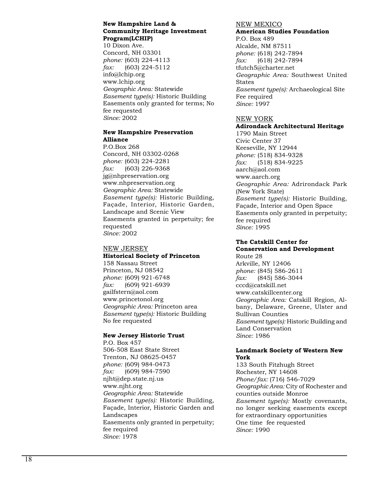#### **New Hampshire Land & Community Heritage Investment Program(LCHIP)**

10 Dixon Ave. Concord, NH 03301 *phone:* (603) 224-4113 *fax:* (603) 224-5112 info@lchip.org www.lchip.org *Geographic Area:* Statewide *Easement type(s):* Historic Building Easements only granted for terms; No fee requested *Since:* 2002

#### **New Hampshire Preservation Alliance**

P.O.Box 268 Concord, NH 03302-0268 *phone:* (603) 224-2281 *fax:* (603) 226-9368 jg@nhpreservation.org www.nhpreservation.org *Geographic Area:* Statewide *Easement type(s):* Historic Building, Façade, Interior, Historic Garden, Landscape and Scenic View Easements granted in perpetuity; fee requested *Since:* 2002

#### NEW JERSEY

#### **Historical Society of Princeton**

158 Nassau Street Princeton, NJ 08542 *phone:* (609) 921-6748 *fax:* (609) 921-6939 gailfstern@aol.com www.princetonol.org *Geographic Area:* Princeton area *Easement type(s):* Historic Building No fee requested

#### **New Jersey Historic Trust**

P.O. Box 457 506-508 East State Street Trenton, NJ 08625-0457 *phone:* (609) 984-0473 *fax:* (609) 984-7590 njht@dep.state.nj.us www.njht.org *Geographic Area:* Statewide *Easement type(s):* Historic Building, Façade, Interior, Historic Garden and Landscapes Easements only granted in perpetuity; fee required *Since:* 1978

#### NEW MEXICO

### **American Studies Foundation**

P.O. Box 489 Alcalde, NM 87511 *phone:* (618) 242-7894 *fax:* (618) 242-7894 tfutch5@charter.net *Geographic Area:* Southwest United States *Easement type(s):* Archaeological Site Fee required *Since:* 1997

#### NEW YORK

#### **Adirondack Architectural Heritage**

1790 Main Street Civic Center 37 Keeseville, NY 12944 *phone:* (518) 834-9328 *fax:* (518) 834-9225 aarch@aol.com www.aarch.org *Geographic Area:* Adrirondack Park (New York State) *Easement type(s):* Historic Building, Façade, Interior and Open Space Easements only granted in perpetuity; fee required *Since:* 1995

#### **The Catskill Center for Conservation and Development**

Route 28 Arkville, NY 12406 *phone:* (845) 586-2611 *fax:* (845) 586-3044 cccd@catskill.net www.catskillcenter.org *Geographic Area:* Catskill Region, Al bany, Delaware, Greene, Ulster and Sullivan Counties *Easement type(s):* Historic Building and Land Conservation *Since:* 1986

#### **Landmark Society of Western New York**

133 South Fitzhugh Street Rochester, NY 14608 *Phone/fax:* (716) 546-7029 *Geographic Area:* City of Rochester and counties outside Monroe *Easement type(s):* Mostly covenants, no longer seeking easements except for extraordinary opportunities One time fee requested *Since:* 1990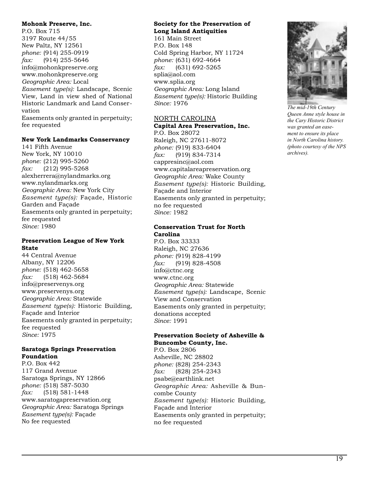#### **Mohonk Preserve, Inc.**

P.O. Box 715 3197 Route 44/55 New Paltz, NY 12561 *phone:* (914) 255-0919 *fax:* (914) 255-5646 info@mohonkpreserve.org www.mohonkpreserve.org *Geographic Area:* Local *Easement type(s):* Landscape, Scenic View, Land in view shed of National Historic Landmark and Land Conservation Easements only granted in perpetuity; fee requested

#### **New York Landmarks Conservancy**

141 Fifth Avenue New York, NY 10010 *phone:* (212) 995-5260 *fax:* (212) 995-5268 alexherrera@nylandmarks.org www.nylandmarks.org *Geographic Area:* New York City *Easement type(s):* Façade, Historic Garden and Façade Easements only granted in perpetuity; fee requested *Since:* 1980

#### **Preservation League of New York State**

44 Central Avenue Albany, NY 12206 *phone:* (518) 462-5658 *fax:* (518) 462-5684 info@preservenys.org www.preservenys.org *Geographic Area:* Statewide *Easement type(s):* Historic Building, Façade and Interior Easements only granted in perpetuity; fee requested *Since:* 1975

#### **Saratoga Springs Preservation Foundation**

P.O. Box 442 117 Grand Avenue Saratoga Springs, NY 12866 *phone:* (518) 587-5030 *fax:* (518) 581-1448 www.saratogapreservation.org *Geographic Area:* Saratoga Springs *Easement type(s):* Façade No fee requested

#### **Society for the Preservation of Long Island Antiquities**

161 Main Street P.O. Box 148 Cold Spring Harbor, NY 11724 *phone:* (631) 692-4664 *fax:* (631) 692-5265 splia@aol.com www.splia.org *Geographic Area:* Long Island *Easement type(s):* Historic Building *Since:* 1976

#### NORTH CAROLINA **Capital Area Preservation, Inc.** P.O. Box 28072

Raleigh, NC 27611-8072 *phone:* (919) 833-6404 *fax:* (919) 834-7314 cappresinc@aol.com www.capitalareapreservation.org *Geographic Area:* Wake County *Easement type(s):* Historic Building, Façade and Interior Easements only granted in perpetuity; no fee requested *Since:* 1982

#### **Conservation Trust for North Carolina**

P.O. Box 33333 Raleigh, NC 27636 *phone:* (919) 828-4199 *fax:* (919) 828-4508 info@ctnc.org www.ctnc.org *Geographic Area:* Statewide *Easement type(s):* Landscape, Scenic View and Conservation Easements only granted in perpetuity; donations accepted *Since:* 1991

#### **Preservation Society of Asheville & Buncombe County, Inc.**

P.O. Box 2806 Asheville, NC 28802 *phone:* (828) 254-2343 *fax:* (828) 254-2343 psabe@earthlink.net *Geographic Area:* Asheville & Buncombe County *Easement type(s):* Historic Building, Façade and Interior Easements only granted in perpetuity; no fee requested



*The mid-19th Century Queen Anne style house in the Cary Historic District was granted an easement to ensure its place in North Carolina history. (photo courtesy of the NPS archives).*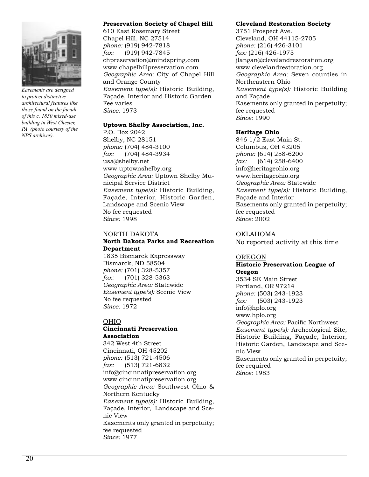

*Easements are designed to protect distinctive architectural features like those found on the facade of this c. 1850 mixed-use building in West Chester, PA. (photo courtesy of the NPS archives).*

#### **Preservation Society of Chapel Hill**

610 East Rosemary Street Chapel Hill, NC 27514 *phone:* (919) 942-7818 *fax:* (919) 942-7845 chpreservation@mindspring.com www.chapelhillpreservation.com *Geographic Area:* City of Chapel Hill and Orange County *Easement type(s):* Historic Building, Façade, Interior and Historic Garden Fee varies *Since:* 1973

#### **Uptown Shelby Association, Inc.**

P.O. Box 2042 Shelby, NC 28151 *phone:* (704) 484-3100 *fax:* (704) 484-3934 usa@shelby.net www.uptownshelby.org *Geographic Area:* Uptown Shelby Municipal Service District *Easement type(s):* Historic Building, Façade, Interior, Historic Garden, Landscape and Scenic View No fee requested *Since:* 1998

#### NORTH DAKOTA **North Dakota Parks and Recreation Department**

1835 Bismarck Expressway Bismarck, ND 58504 *phone:* (701) 328-5357 *fax:* (701) 328-5363 *Geographic Area:* Statewide *Easement type(s):* Scenic View No fee requested *Since:* 1972

#### OHIO

#### **Cincinnati Preservation Association**

342 West 4th Street Cincinnati, OH 45202 *phone:* (513) 721-4506 *fax:* (513) 721-6832 info@cincinnatipreservation.org www.cincinnatipreservation.org *Geographic Area:* Southwest Ohio & Northern Kentucky *Easement type(s):* Historic Building, Façade, Interior, Landscape and Scenic View Easements only granted in perpetuity; fee requested *Since:* 1977

#### **Cleveland Restoration Society**

3751 Prospect Ave. Cleveland, OH 44115-2705 *phone:* (216) 426-3101 *fax:* (216) 426-1975 jlangan@clevelandrestoration.org www.clevelandrestoration.org *Geographic Area:* Seven counties in Northeastern Ohio *Easement type(s):* Historic Building and Façade Easements only granted in perpetuity; fee requested *Since:* 1990

#### **Heritage Ohio**

846 1/2 East Main St. Columbus, OH 43205 *phone:* (614) 258-6200 *fax:* (614) 258-6400 info@heritageohio.org www.heritageohio.org *Geographic Area:* Statewide *Easement type(s):* Historic Building, Façade and Interior Easements only granted in perpetuity; fee requested *Since:* 2002

#### OKLAHOMA

No reported activity at this time

#### OREGON

#### **Historic Preservation League of Oregon**

3534 SE Main Street Portland, OR 97214 *phone:* (503) 243-1923 *fax:* (503) 243-1923 info@hplo.org www.hplo.org *Geographic Area:* Pacific Northwest *Easement type(s):* Archeological Site, Historic Building, Façade, Interior, Historic Garden, Landscape and Scenic View Easements only granted in perpetuity; fee required *Since:* 1983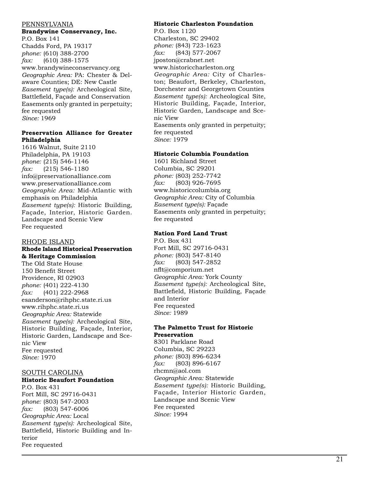#### PENNSYLVANIA

#### **Brandywine Conservancy, Inc.**

P.O. Box 141 Chadds Ford, PA 19317 *phone:* (610) 388-2700 *fax:* (610) 388-1575 www.brandywineconservancy.org *Geographic Area:* PA: Chester & Del aware Counties; DE: New Castle *Easement type(s):* Archeological Site, Battlefield, Façade and Conservation Easements only granted in perpetuity; fee requested *Since:* 1969

#### **Preservation Alliance for Greater Philadelphia**

1616 Walnut, Suite 2110 Philadelphia, PA 19103 *phone:* (215) 546-1146 *fax:* (215) 546-1180 info@preservationalliance.com www.preservationalliance.com *Geographic Area:* Mid-Atlantic with emphasis on Philadelphia *Easement type(s):* Historic Building, Façade, Interior, Historic Garden. Landscape and Scenic View Fee requested

#### RHODE ISLAND

#### **Rhode Island Historical Preservation & Heritage Commission**

The Old State House 150 Benefit Street Providence, RI 02903 *phone:* (401) 222-4130 *fax:* (401) 222-2968 esanderson@rihphc.state.ri.us www.rihphc.state.ri.us *Geographic Area:* Statewide *Easement type(s):* Archeological Site, Historic Building, Façade, Interior, Historic Garden, Landscape and Sce nic View Fee requested *Since:* 1970

#### SOUTH CAROLINA

#### **Historic Beaufort Foundation**

P.O. Box 431 Fort Mill, SC 29716-0431 *phone:* (803) 547-2003 *fax:* (803) 547-6006 *Geographic Area:* Local *Easement type(s):* Archeological Site, Battlefield, Historic Building and In terior Fee requested

#### **Historic Charleston Foundation**

P.O. Box 1120 Charleston, SC 29402 *phone:* (843) 723-1623 *fax:* (843) 577-2067 jposton@crabnet.net www.historiccharleston.org *Geographic Area:* City of Charles ton; Beaufort, Berkeley, Charleston, Dorchester and Georgetown Counties *Easement type(s):* Archeological Site, Historic Building, Façade, Interior, Historic Garden, Landscape and Sce nic View Easements only granted in perpetuity; fee requested *Since:* 1979

#### **Historic Columbia Foundation**

1601 Richland Street Columbia, SC 29201 *phone:* (803) 252-7742 *fax:* (803) 926-7695 www.historiccolumbia.org *Geographic Area:* City of Columbia *Easement type(s):* Façade Easements only granted in perpetuity; fee requested

#### **Nation Ford Land Trust**

P.O. Box 431 Fort Mill, SC 29716-0431 *phone:* (803) 547-8140 *fax:* (803) 547-2852 nflt@comporium.net *Geographic Area:* York County *Easement type(s):* Archeological Site, Battlefield, Historic Building, Façade and Interior Fee requested *Since:* 1989

#### **The Palmetto Trust for Historic Preservation**

8301 Parklane Road Columbia, SC 29223 *phone:* (803) 896-6234 *fax:* (803) 896-6167 rhcmn@aol.com *Geographic Area:* Statewide *Easement type(s):* Historic Building, Façade, Interior Historic Garden, Landscape and Scenic View Fee requested *Since:* 1994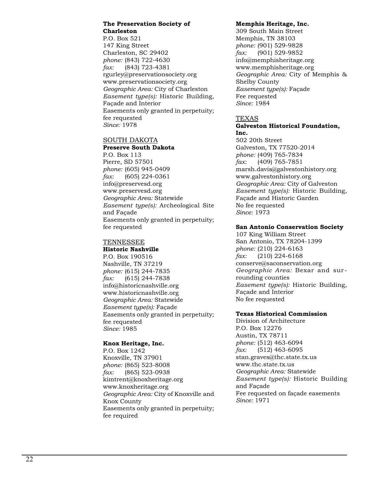#### **The Preservation Society of Charleston**

P.O. Box 521 147 King Street Charleston, SC 29402 *phone:* (843) 722-4630 *fax:* (843) 723-4381 rgurley@preservationsociety.org www.preservationsociety.org *Geographic Area:* City of Charleston *Easement type(s):* Historic Building, Façade and Interior Easements only granted in perpetuity; fee requested *Since:* 1978

#### SOUTH DAKOTA

#### **Preserve South Dakota**

P.O. Box 113 Pierre, SD 57501 *phone:* (605) 945-0409 *fax:* (605) 224-0361 info@preservesd.org www.preservesd.org *Geographic Area:* Statewide *Easement type(s):* Archeological Site and Façade Easements only granted in perpetuity; fee requested

#### TENNESSEE

#### **Historic Nashville**

P.O. Box 190516 Nashville, TN 37219 *phone:* (615) 244-7835 *fax:* (615) 244-7838 info@historicnashville.org www.historicnashville.org *Geographic Area:* Statewide *Easement type(s):* Façade Easements only granted in perpetuity; fee requested *Since:* 1985

#### **Knox Heritage, Inc.**

P.O. Box 1242 Knoxville, TN 37901 *phone:* (865) 523-8008 *fax:* (865) 523-0938 kimtrent@knoxheritage.org www.knoxheritage.org *Geographic Area:* City of Knoxville and Knox County Easements only granted in perpetuity; fee required

#### **Memphis Heritage, Inc.**

309 South Main Street Memphis, TN 38103 *phone:* (901) 529-9828 *fax:* (901) 529-9852 info@memphisheritage.org www.memphisheritage.org *Geographic Area:* City of Memphis & Shelby County *Easement type(s):* Façade Fee requested *Since:* 1984

#### TEXAS

#### **Galveston Historical Foundation, Inc.**

502 20th Street Galveston, TX 77520-2014 *phone:* (409) 765-7834 *fax:* (409) 765-7851 marsh.davis@galvestonhistory.org www.galvestonhistory.org *Geographic Area:* City of Galveston *Easement type(s):* Historic Building, Façade and Historic Garden No fee requested *Since:* 1973

#### **San Antonio Conservation Society**

107 King William Street San Antonio, TX 78204-1399 *phone:* (210) 224-6163 *fax:* (210) 224-6168 conserve@saconservation.org *Geographic Area:* Bexar and sur rounding counties *Easement type(s):* Historic Building, Façade and Interior No fee requested

#### **Texas Historical Commission**

Division of Architecture P.O. Box 12276 Austin, TX 78711 *phone:* (512) 463-6094 *fax:* (512) 463-6095 stan.graves@thc.state.tx.us www.thc.state.tx.us *Geographic Area:* Statewide *Easement type(s):* Historic Building and Façade Fee requested on façade easements *Since:* 1971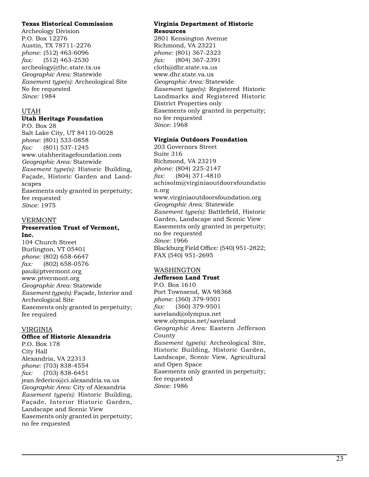#### **Texas Historical Commission**

Archeology Division P.O. Box 12276 Austin, TX 78711-2276 *phone:* (512) 463-6096 *fax:* (512) 463-2530 archeology@thc.state.tx.us *Geographic Area:* Statewide *Easement type(s):* Archeological Site No fee requested *Since:* 1984

#### UTAH

#### **Utah Heritage Foundation**

P.O. Box 28 Salt Lake City, UT 84110-0028 *phone:* (801) 533-0858 *fax:* (801) 537-1245 www.utahheritagefoundation.com *Geographic Area:* Statewide *Easement type(s):* Historic Building, Façade, Historic Garden and Land scapes Easements only granted in perpetuity; fee requested *Since:* 1975

#### VERMONT

#### **Preservation Trust of Vermont, Inc.**

104 Church Street Burlington, VT 05401 *phone:* (802) 658-6647 *fax:* (802) 658-0576 paul@ptvermont.org www.ptvermont.org *Geographic Area:* Statewide *Easement type(s):* Façade, Interior and Archeological Site Easements only granted in perpetuity; fee required

#### VIRGINIA

#### **Office of Historic Alexandria**

P.O. Box 178 City Hall Alexandria, VA 22313 *phone:* (703) 838-4554 *fax:* (703) 838-6451 jean.federico@ci.alexandria.va.us *Geographic Area:* City of Alexandria *Easement type(s):* Historic Building, Façade, Interior Historic Garden, Landscape and Scenic View Easements only granted in perpetuity; no fee requested

#### **Virginia Department of Historic Resources**

2801 Kensington Avenue Richmond, VA 23221 *phone:* (801) 367-2323 *fax:* (804) 367-2391 cloth@dhr.state.va.us www.dhr.state.va.us *Geographic Area:* Statewide *Easement type(s):* Registered Historic Landmarks and Registered Historic District Properties only Easements only granted in perpetuity; no fee requested *Since:* 1968

#### **Virginia Outdoors Foundation**

203 Governors Street Suite 316 Richmond, VA 23219 *phone:* (804) 225-2147 *fax:* (804) 371-4810 achisolm@virginiaoutdoorsfoundatio n.org www.virginiaoutdoorsfoundation.org *Geographic Area:* Statewide *Easement type(s):* Battlefield, Historic Garden, Landscape and Scenic View Easements only granted in perpetuity; no fee requested *Since:* 1966 Blackburg Field Office: (540) 951-2822; FAX (540) 951-2695

#### WASHINGTON

#### **Jefferson Land Trust**

P.O. Box 1610 Port Townsend, WA 98368 *phone:* (360) 379-9501 *fax:* (360) 379-9501 saveland@olympus.net www.olympus.net/saveland *Geographic Area:* Eastern Jefferson County *Easement type(s):* Archeological Site, Historic Building, Historic Garden, Landscape, Scenic View, Agricultural and Open Space Easements only granted in perpetuity; fee requested *Since:* 1986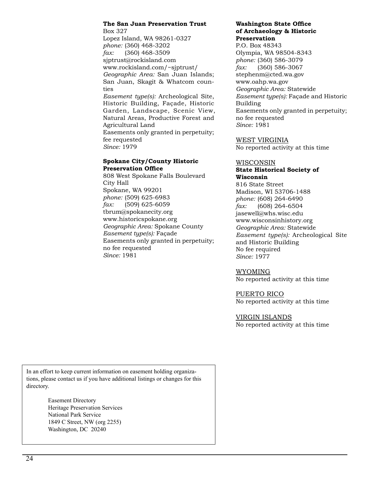#### **The San Juan Preservation Trust**

Box 327 Lopez Island, WA 98261-0327 *phone:* (360) 468-3202 *fax:* (360) 468-3509 sjptrust@rockisland.com www.rockisland.com/~sjptrust/ *Geographic Area:* San Juan Islands; San Juan, Skagit & Whatcom counties *Easement type(s):* Archeological Site, Historic Building, Façade, Historic

Garden, Landscape, Scenic View, Natural Areas, Productive Forest and Agricultural Land Easements only granted in perpetuity; fee requested *Since:* 1979

#### **Spokane City/County Historic Preservation Office**

808 West Spokane Falls Boulevard City Hall Spokane, WA 99201 *phone:* (509) 625-6983 *fax:* (509) 625-6059 tbrum@spokanecity.org www.historicspokane.org *Geographic Area:* Spokane County *Easement type(s):* Façade Easements only granted in perpetuity; no fee requested *Since:* 1981

#### **Washington State Office of Archaeology & Historic Preservation**

P.O. Box 48343 Olympia, WA 98504-8343 *phone:* (360) 586-3079 *fax:* (360) 586-3067 stephenm@cted.wa.gov www.oahp.wa.gov *Geographic Area:* Statewide *Easement type(s):* Façade and Historic Building Easements only granted in perpetuity; no fee requested *Since:* 1981

WEST VIRGINIA No reported activity at this time

#### WISCONSIN

#### **State Historical Society of Wisconsin**

816 State Street Madison, WI 53706-1488 *phone:* (608) 264-6490 *fax:* (608) 264-6504 jasewell@whs.wisc.edu www.wisconsinhistory.org *Geographic Area:* Statewide *Easement type(s):* Archeological Site and Historic Building No fee required *Since:* 1977

#### WYOMING

No reported activity at this time

PUERTO RICO

No reported activity at this time

#### VIRGIN ISLANDS

No reported activity at this time

In an effort to keep current information on easement holding organizations, please contact us if you have additional listings or changes for this directory.

> Easement Directory Heritage Preservation Services National Park Service 1849 C Street, NW (org 2255) Washington, DC 20240